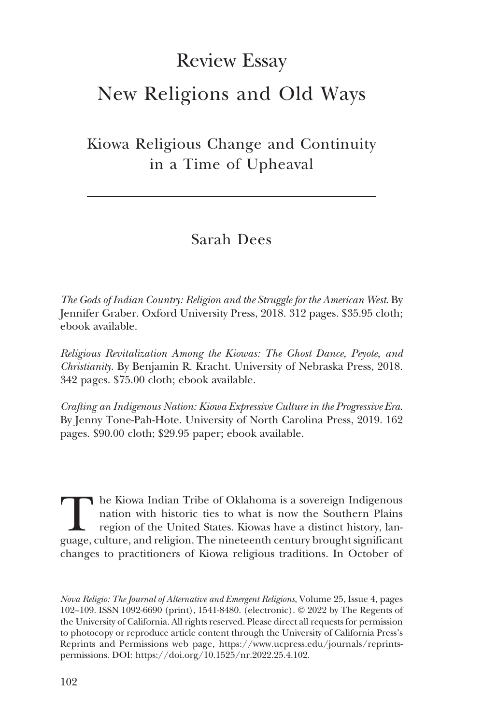## Review Essay

## New Religions and Old Ways

Kiowa Religious Change and Continuity in a Time of Upheaval

## Sarah Dees

The Gods of Indian Country: Religion and the Struggle for the American West. By Jennifer Graber. Oxford University Press, 2018. 312 pages. \$35.95 cloth; ebook available.

Religious Revitalization Among the Kiowas: The Ghost Dance, Peyote, and Christianity. By Benjamin R. Kracht. University of Nebraska Press, 2018. 342 pages. \$75.00 cloth; ebook available.

Crafting an Indigenous Nation: Kiowa Expressive Culture in the Progressive Era. By Jenny Tone-Pah-Hote. University of North Carolina Press, 2019. 162 pages. \$90.00 cloth; \$29.95 paper; ebook available.

The Kiowa Indian Tribe of Oklahoma is a sovereign Indigenous<br>nation with historic ties to what is now the Southern Plains<br>region of the United States. Kiowas have a distinct history, lan-<br>guage, culture, and religion. The nation with historic ties to what is now the Southern Plains region of the United States. Kiowas have a distinct history, language, culture, and religion. The nineteenth century brought significant changes to practitioners of Kiowa religious traditions. In October of

Nova Religio: The Journal of Alternative and Emergent Religions, Volume 25, Issue 4, pages 102–109. ISSN 1092-6690 (print), 1541-8480. (electronic). © 2022 by The Regents of the University of California. All rights reserved. Please direct all requests for permission to photocopy or reproduce article content through the University of California Press's Reprints and Permissions web page, [https://www.ucpress.edu/journals/reprints](https://www.ucpress.edu/journals/reprints-permissions)[permissions.](https://www.ucpress.edu/journals/reprints-permissions) [DOI: https://doi.org/10.1525/nr.2022.25.4.102.](https://doi.org/10.1525/nr.2022.25.4.102)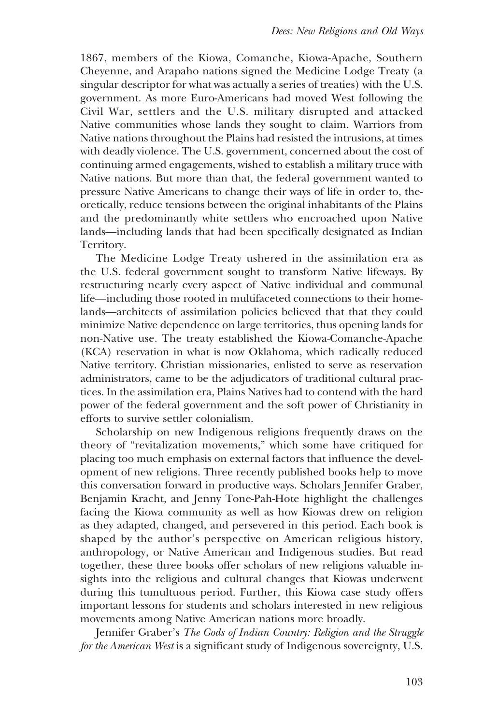1867, members of the Kiowa, Comanche, Kiowa-Apache, Southern Cheyenne, and Arapaho nations signed the Medicine Lodge Treaty (a singular descriptor for what was actually a series of treaties) with the U.S. government. As more Euro-Americans had moved West following the Civil War, settlers and the U.S. military disrupted and attacked Native communities whose lands they sought to claim. Warriors from Native nations throughout the Plains had resisted the intrusions, at times with deadly violence. The U.S. government, concerned about the cost of continuing armed engagements, wished to establish a military truce with Native nations. But more than that, the federal government wanted to pressure Native Americans to change their ways of life in order to, theoretically, reduce tensions between the original inhabitants of the Plains and the predominantly white settlers who encroached upon Native lands—including lands that had been specifically designated as Indian Territory.

The Medicine Lodge Treaty ushered in the assimilation era as the U.S. federal government sought to transform Native lifeways. By restructuring nearly every aspect of Native individual and communal life—including those rooted in multifaceted connections to their homelands—architects of assimilation policies believed that that they could minimize Native dependence on large territories, thus opening lands for non-Native use. The treaty established the Kiowa-Comanche-Apache (KCA) reservation in what is now Oklahoma, which radically reduced Native territory. Christian missionaries, enlisted to serve as reservation administrators, came to be the adjudicators of traditional cultural practices. In the assimilation era, Plains Natives had to contend with the hard power of the federal government and the soft power of Christianity in efforts to survive settler colonialism.

Scholarship on new Indigenous religions frequently draws on the theory of "revitalization movements," which some have critiqued for placing too much emphasis on external factors that influence the development of new religions. Three recently published books help to move this conversation forward in productive ways. Scholars Jennifer Graber, Benjamin Kracht, and Jenny Tone-Pah-Hote highlight the challenges facing the Kiowa community as well as how Kiowas drew on religion as they adapted, changed, and persevered in this period. Each book is shaped by the author's perspective on American religious history, anthropology, or Native American and Indigenous studies. But read together, these three books offer scholars of new religions valuable insights into the religious and cultural changes that Kiowas underwent during this tumultuous period. Further, this Kiowa case study offers important lessons for students and scholars interested in new religious movements among Native American nations more broadly.

Jennifer Graber's The Gods of Indian Country: Religion and the Struggle for the American West is a significant study of Indigenous sovereignty, U.S.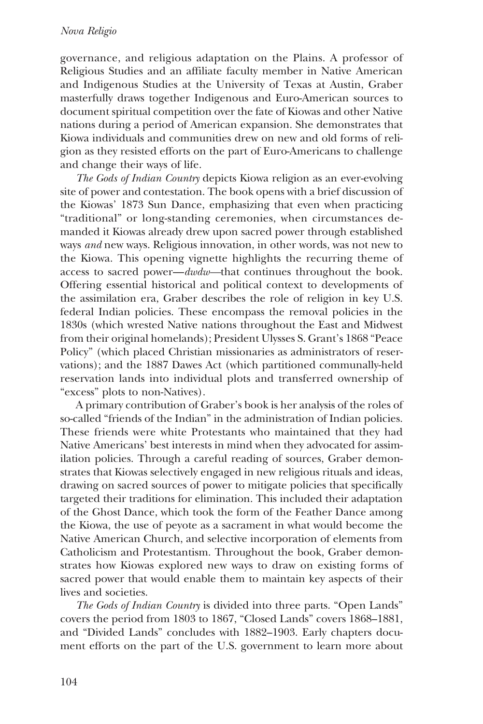governance, and religious adaptation on the Plains. A professor of Religious Studies and an affiliate faculty member in Native American and Indigenous Studies at the University of Texas at Austin, Graber masterfully draws together Indigenous and Euro-American sources to document spiritual competition over the fate of Kiowas and other Native nations during a period of American expansion. She demonstrates that Kiowa individuals and communities drew on new and old forms of religion as they resisted efforts on the part of Euro-Americans to challenge and change their ways of life.

The Gods of Indian Country depicts Kiowa religion as an ever-evolving site of power and contestation. The book opens with a brief discussion of the Kiowas' 1873 Sun Dance, emphasizing that even when practicing "traditional" or long-standing ceremonies, when circumstances demanded it Kiowas already drew upon sacred power through established ways and new ways. Religious innovation, in other words, was not new to the Kiowa. This opening vignette highlights the recurring theme of access to sacred power—dwdw—that continues throughout the book. Offering essential historical and political context to developments of the assimilation era, Graber describes the role of religion in key U.S. federal Indian policies. These encompass the removal policies in the 1830s (which wrested Native nations throughout the East and Midwest from their original homelands); President Ulysses S. Grant's 1868 "Peace Policy" (which placed Christian missionaries as administrators of reservations); and the 1887 Dawes Act (which partitioned communally-held reservation lands into individual plots and transferred ownership of "excess" plots to non-Natives).

A primary contribution of Graber's book is her analysis of the roles of so-called "friends of the Indian" in the administration of Indian policies. These friends were white Protestants who maintained that they had Native Americans' best interests in mind when they advocated for assimilation policies. Through a careful reading of sources, Graber demonstrates that Kiowas selectively engaged in new religious rituals and ideas, drawing on sacred sources of power to mitigate policies that specifically targeted their traditions for elimination. This included their adaptation of the Ghost Dance, which took the form of the Feather Dance among the Kiowa, the use of peyote as a sacrament in what would become the Native American Church, and selective incorporation of elements from Catholicism and Protestantism. Throughout the book, Graber demonstrates how Kiowas explored new ways to draw on existing forms of sacred power that would enable them to maintain key aspects of their lives and societies.

The Gods of Indian Country is divided into three parts. "Open Lands" covers the period from 1803 to 1867, "Closed Lands" covers 1868–1881, and "Divided Lands" concludes with 1882–1903. Early chapters document efforts on the part of the U.S. government to learn more about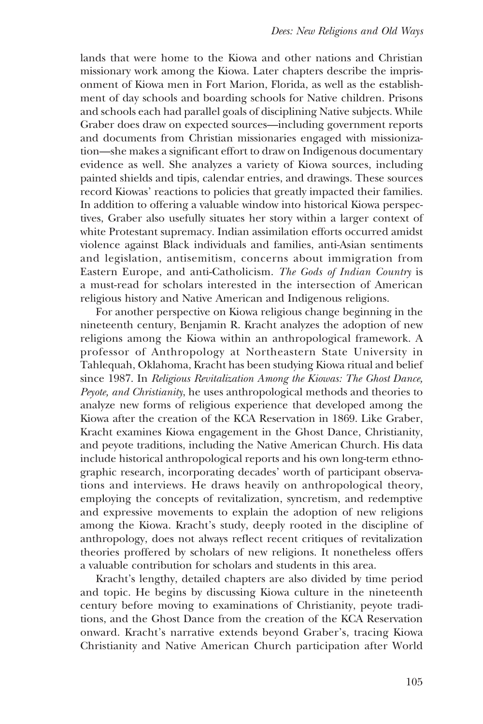lands that were home to the Kiowa and other nations and Christian missionary work among the Kiowa. Later chapters describe the imprisonment of Kiowa men in Fort Marion, Florida, as well as the establishment of day schools and boarding schools for Native children. Prisons and schools each had parallel goals of disciplining Native subjects. While Graber does draw on expected sources—including government reports and documents from Christian missionaries engaged with missionization—she makes a significant effort to draw on Indigenous documentary evidence as well. She analyzes a variety of Kiowa sources, including painted shields and tipis, calendar entries, and drawings. These sources record Kiowas' reactions to policies that greatly impacted their families. In addition to offering a valuable window into historical Kiowa perspectives, Graber also usefully situates her story within a larger context of white Protestant supremacy. Indian assimilation efforts occurred amidst violence against Black individuals and families, anti-Asian sentiments and legislation, antisemitism, concerns about immigration from Eastern Europe, and anti-Catholicism. The Gods of Indian Country is a must-read for scholars interested in the intersection of American religious history and Native American and Indigenous religions.

For another perspective on Kiowa religious change beginning in the nineteenth century, Benjamin R. Kracht analyzes the adoption of new religions among the Kiowa within an anthropological framework. A professor of Anthropology at Northeastern State University in Tahlequah, Oklahoma, Kracht has been studying Kiowa ritual and belief since 1987. In Religious Revitalization Among the Kiowas: The Ghost Dance, Peyote, and Christianity, he uses anthropological methods and theories to analyze new forms of religious experience that developed among the Kiowa after the creation of the KCA Reservation in 1869. Like Graber, Kracht examines Kiowa engagement in the Ghost Dance, Christianity, and peyote traditions, including the Native American Church. His data include historical anthropological reports and his own long-term ethnographic research, incorporating decades' worth of participant observations and interviews. He draws heavily on anthropological theory, employing the concepts of revitalization, syncretism, and redemptive and expressive movements to explain the adoption of new religions among the Kiowa. Kracht's study, deeply rooted in the discipline of anthropology, does not always reflect recent critiques of revitalization theories proffered by scholars of new religions. It nonetheless offers a valuable contribution for scholars and students in this area.

Kracht's lengthy, detailed chapters are also divided by time period and topic. He begins by discussing Kiowa culture in the nineteenth century before moving to examinations of Christianity, peyote traditions, and the Ghost Dance from the creation of the KCA Reservation onward. Kracht's narrative extends beyond Graber's, tracing Kiowa Christianity and Native American Church participation after World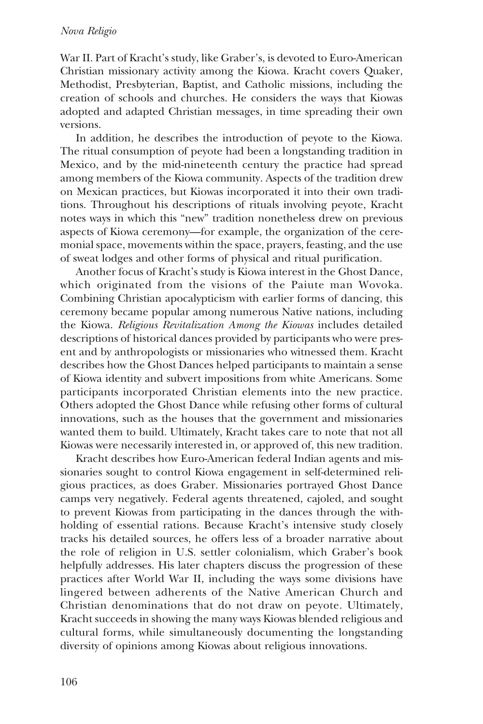War II. Part of Kracht's study, like Graber's, is devoted to Euro-American Christian missionary activity among the Kiowa. Kracht covers Quaker, Methodist, Presbyterian, Baptist, and Catholic missions, including the creation of schools and churches. He considers the ways that Kiowas adopted and adapted Christian messages, in time spreading their own versions.

In addition, he describes the introduction of peyote to the Kiowa. The ritual consumption of peyote had been a longstanding tradition in Mexico, and by the mid-nineteenth century the practice had spread among members of the Kiowa community. Aspects of the tradition drew on Mexican practices, but Kiowas incorporated it into their own traditions. Throughout his descriptions of rituals involving peyote, Kracht notes ways in which this "new" tradition nonetheless drew on previous aspects of Kiowa ceremony—for example, the organization of the ceremonial space, movements within the space, prayers, feasting, and the use of sweat lodges and other forms of physical and ritual purification.

Another focus of Kracht's study is Kiowa interest in the Ghost Dance, which originated from the visions of the Paiute man Wovoka. Combining Christian apocalypticism with earlier forms of dancing, this ceremony became popular among numerous Native nations, including the Kiowa. Religious Revitalization Among the Kiowas includes detailed descriptions of historical dances provided by participants who were present and by anthropologists or missionaries who witnessed them. Kracht describes how the Ghost Dances helped participants to maintain a sense of Kiowa identity and subvert impositions from white Americans. Some participants incorporated Christian elements into the new practice. Others adopted the Ghost Dance while refusing other forms of cultural innovations, such as the houses that the government and missionaries wanted them to build. Ultimately, Kracht takes care to note that not all Kiowas were necessarily interested in, or approved of, this new tradition.

Kracht describes how Euro-American federal Indian agents and missionaries sought to control Kiowa engagement in self-determined religious practices, as does Graber. Missionaries portrayed Ghost Dance camps very negatively. Federal agents threatened, cajoled, and sought to prevent Kiowas from participating in the dances through the withholding of essential rations. Because Kracht's intensive study closely tracks his detailed sources, he offers less of a broader narrative about the role of religion in U.S. settler colonialism, which Graber's book helpfully addresses. His later chapters discuss the progression of these practices after World War II, including the ways some divisions have lingered between adherents of the Native American Church and Christian denominations that do not draw on peyote. Ultimately, Kracht succeeds in showing the many ways Kiowas blended religious and cultural forms, while simultaneously documenting the longstanding diversity of opinions among Kiowas about religious innovations.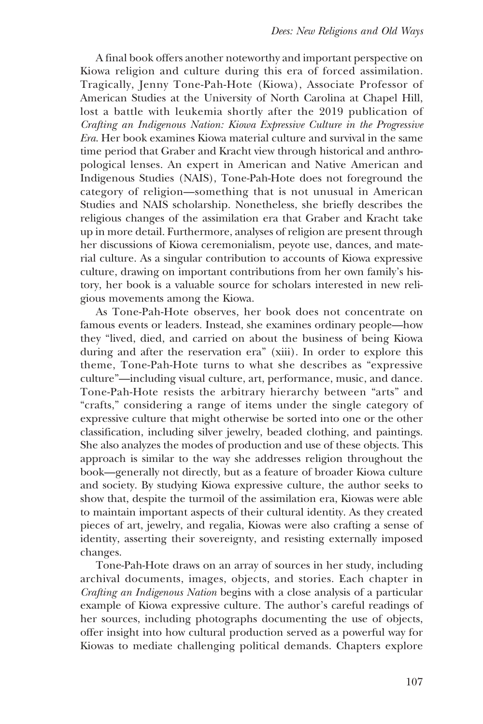A final book offers another noteworthy and important perspective on Kiowa religion and culture during this era of forced assimilation. Tragically, Jenny Tone-Pah-Hote (Kiowa), Associate Professor of American Studies at the University of North Carolina at Chapel Hill, lost a battle with leukemia shortly after the 2019 publication of Crafting an Indigenous Nation: Kiowa Expressive Culture in the Progressive Era. Her book examines Kiowa material culture and survival in the same time period that Graber and Kracht view through historical and anthropological lenses. An expert in American and Native American and Indigenous Studies (NAIS), Tone-Pah-Hote does not foreground the category of religion—something that is not unusual in American Studies and NAIS scholarship. Nonetheless, she briefly describes the religious changes of the assimilation era that Graber and Kracht take up in more detail. Furthermore, analyses of religion are present through her discussions of Kiowa ceremonialism, peyote use, dances, and material culture. As a singular contribution to accounts of Kiowa expressive culture, drawing on important contributions from her own family's history, her book is a valuable source for scholars interested in new religious movements among the Kiowa.

As Tone-Pah-Hote observes, her book does not concentrate on famous events or leaders. Instead, she examines ordinary people—how they "lived, died, and carried on about the business of being Kiowa during and after the reservation era" (xiii). In order to explore this theme, Tone-Pah-Hote turns to what she describes as "expressive culture"—including visual culture, art, performance, music, and dance. Tone-Pah-Hote resists the arbitrary hierarchy between "arts" and "crafts," considering a range of items under the single category of expressive culture that might otherwise be sorted into one or the other classification, including silver jewelry, beaded clothing, and paintings. She also analyzes the modes of production and use of these objects. This approach is similar to the way she addresses religion throughout the book—generally not directly, but as a feature of broader Kiowa culture and society. By studying Kiowa expressive culture, the author seeks to show that, despite the turmoil of the assimilation era, Kiowas were able to maintain important aspects of their cultural identity. As they created pieces of art, jewelry, and regalia, Kiowas were also crafting a sense of identity, asserting their sovereignty, and resisting externally imposed changes.

Tone-Pah-Hote draws on an array of sources in her study, including archival documents, images, objects, and stories. Each chapter in Crafting an Indigenous Nation begins with a close analysis of a particular example of Kiowa expressive culture. The author's careful readings of her sources, including photographs documenting the use of objects, offer insight into how cultural production served as a powerful way for Kiowas to mediate challenging political demands. Chapters explore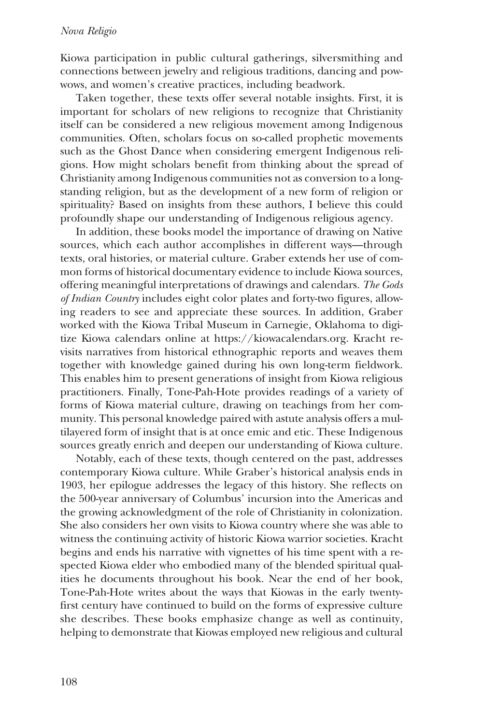## Nova Religio

Kiowa participation in public cultural gatherings, silversmithing and connections between jewelry and religious traditions, dancing and powwows, and women's creative practices, including beadwork.

Taken together, these texts offer several notable insights. First, it is important for scholars of new religions to recognize that Christianity itself can be considered a new religious movement among Indigenous communities. Often, scholars focus on so-called prophetic movements such as the Ghost Dance when considering emergent Indigenous religions. How might scholars benefit from thinking about the spread of Christianity among Indigenous communities not as conversion to a longstanding religion, but as the development of a new form of religion or spirituality? Based on insights from these authors, I believe this could profoundly shape our understanding of Indigenous religious agency.

In addition, these books model the importance of drawing on Native sources, which each author accomplishes in different ways—through texts, oral histories, or material culture. Graber extends her use of common forms of historical documentary evidence to include Kiowa sources, offering meaningful interpretations of drawings and calendars. The Gods of Indian Country includes eight color plates and forty-two figures, allowing readers to see and appreciate these sources. In addition, Graber worked with the Kiowa Tribal Museum in Carnegie, Oklahoma to digitize Kiowa calendars online at<https://kiowacalendars.org>. Kracht revisits narratives from historical ethnographic reports and weaves them together with knowledge gained during his own long-term fieldwork. This enables him to present generations of insight from Kiowa religious practitioners. Finally, Tone-Pah-Hote provides readings of a variety of forms of Kiowa material culture, drawing on teachings from her community. This personal knowledge paired with astute analysis offers a multilayered form of insight that is at once emic and etic. These Indigenous sources greatly enrich and deepen our understanding of Kiowa culture.

Notably, each of these texts, though centered on the past, addresses contemporary Kiowa culture. While Graber's historical analysis ends in 1903, her epilogue addresses the legacy of this history. She reflects on the 500-year anniversary of Columbus' incursion into the Americas and the growing acknowledgment of the role of Christianity in colonization. She also considers her own visits to Kiowa country where she was able to witness the continuing activity of historic Kiowa warrior societies. Kracht begins and ends his narrative with vignettes of his time spent with a respected Kiowa elder who embodied many of the blended spiritual qualities he documents throughout his book. Near the end of her book, Tone-Pah-Hote writes about the ways that Kiowas in the early twentyfirst century have continued to build on the forms of expressive culture she describes. These books emphasize change as well as continuity, helping to demonstrate that Kiowas employed new religious and cultural